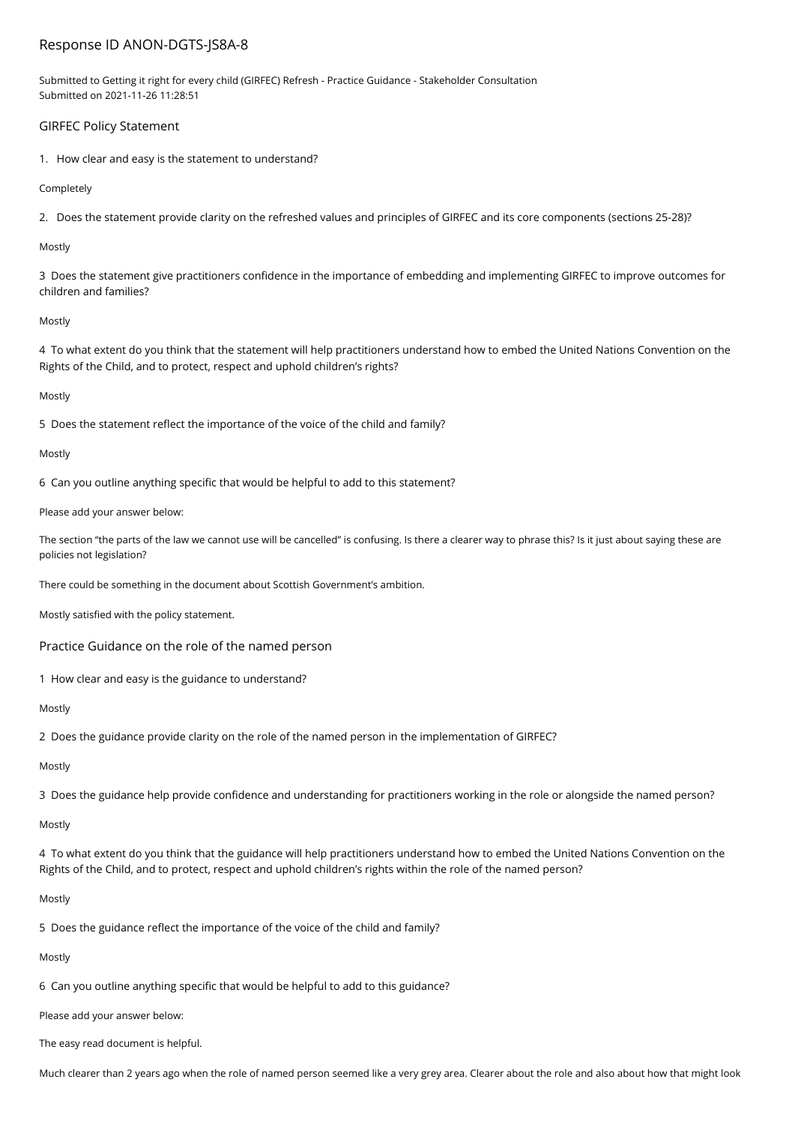# Response ID ANON-DGTS-JS8A-8

Submitted to Getting it right for every child (GIRFEC) Refresh - Practice Guidance - Stakeholder Consultation Submitted on 2021-11-26 11:28:51

# GIRFEC Policy Statement

1. How clear and easy is the statement to understand?

Completely

2. Does the statement provide clarity on the refreshed values and principles of GIRFEC and its core components (sections 25-28)?

Mostly

3 Does the statement give practitioners confidence in the importance of embedding and implementing GIRFEC to improve outcomes for children and families?

## Mostly

4 To what extent do you think that the statement will help practitioners understand how to embed the United Nations Convention on the Rights of the Child, and to protect, respect and uphold children's rights?

## Mostly

5 Does the statement reflect the importance of the voice of the child and family?

## Mostly

6 Can you outline anything specific that would be helpful to add to this statement?

Please add your answer below:

The section "the parts of the law we cannot use will be cancelled" is confusing. Is there a clearer way to phrase this? Is it just about saying these are policies not legislation?

There could be something in the document about Scottish Government's ambition.

Mostly satisfied with the policy statement.

Practice Guidance on the role of the named person

1 How clear and easy is the guidance to understand?

Mostly

2 Does the guidance provide clarity on the role of the named person in the implementation of GIRFEC?

# Mostly

3 Does the guidance help provide confidence and understanding for practitioners working in the role or alongside the named person?

Mostly

4 To what extent do you think that the guidance will help practitioners understand how to embed the United Nations Convention on the Rights of the Child, and to protect, respect and uphold children's rights within the role of the named person?

### Mostly

5 Does the guidance reflect the importance of the voice of the child and family?

Mostly

6 Can you outline anything specific that would be helpful to add to this guidance?

Please add your answer below:

The easy read document is helpful.

Much clearer than 2 years ago when the role of named person seemed like a very grey area. Clearer about the role and also about how that might look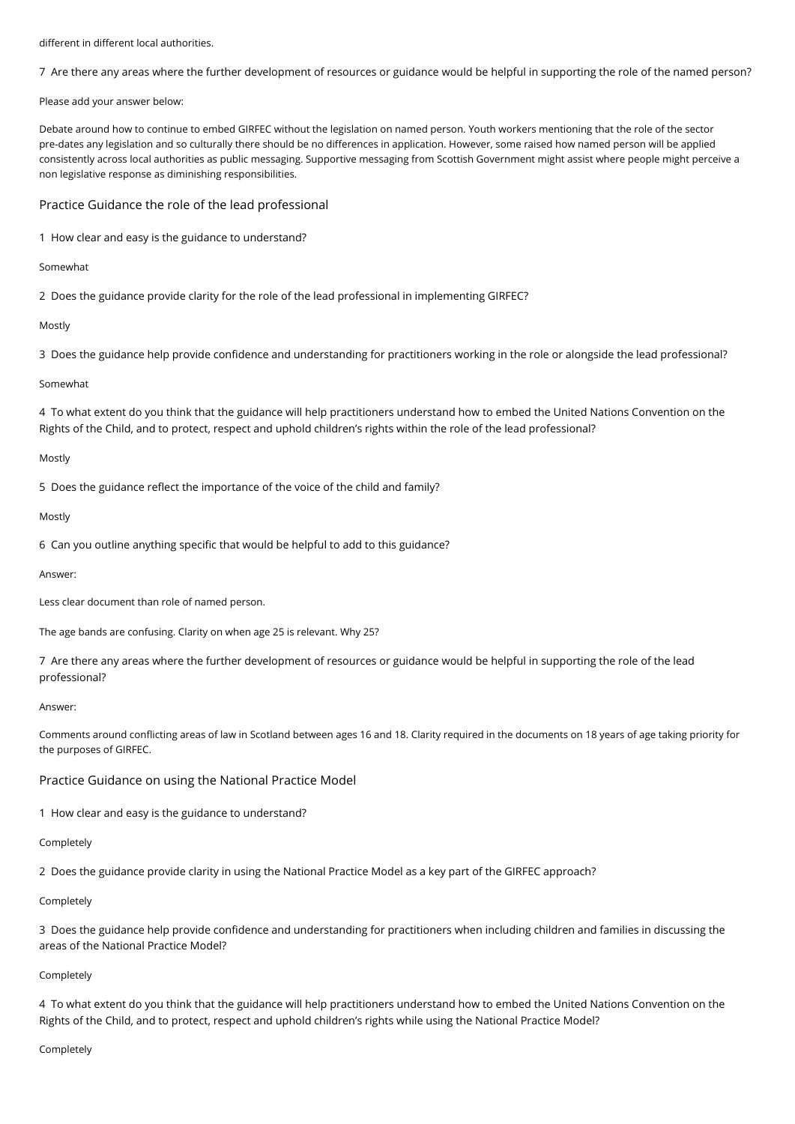different in different local authorities.

7 Are there any areas where the further development of resources or guidance would be helpful in supporting the role of the named person?

Please add your answer below:

Debate around how to continue to embed GIRFEC without the legislation on named person. Youth workers mentioning that the role of the sector pre-dates any legislation and so culturally there should be no differences in application. However, some raised how named person will be applied consistently across local authorities as public messaging. Supportive messaging from Scottish Government might assist where people might perceive a non legislative response as diminishing responsibilities.

Practice Guidance the role of the lead professional

1 How clear and easy is the guidance to understand?

## Somewhat

2 Does the guidance provide clarity for the role of the lead professional in implementing GIRFEC?

Mostly

3 Does the guidance help provide confidence and understanding for practitioners working in the role or alongside the lead professional?

# Somewhat

4 To what extent do you think that the guidance will help practitioners understand how to embed the United Nations Convention on the Rights of the Child, and to protect, respect and uphold children's rights within the role of the lead professional?

# Mostly

5 Does the guidance reflect the importance of the voice of the child and family?

## Mostly

6 Can you outline anything specific that would be helpful to add to this guidance?

### Answer:

Less clear document than role of named person.

The age bands are confusing. Clarity on when age 25 is relevant. Why 25?

7 Are there any areas where the further development of resources or guidance would be helpful in supporting the role of the lead professional?

### Answer:

Comments around conflicting areas of law in Scotland between ages 16 and 18. Clarity required in the documents on 18 years of age taking priority for the purposes of GIRFEC.

# Practice Guidance on using the National Practice Model

1 How clear and easy is the guidance to understand?

## Completely

2 Does the guidance provide clarity in using the National Practice Model as a key part of the GIRFEC approach?

### Completely

3 Does the guidance help provide confidence and understanding for practitioners when including children and families in discussing the areas of the National Practice Model?

# Completely

4 To what extent do you think that the guidance will help practitioners understand how to embed the United Nations Convention on the Rights of the Child, and to protect, respect and uphold children's rights while using the National Practice Model?

### Completely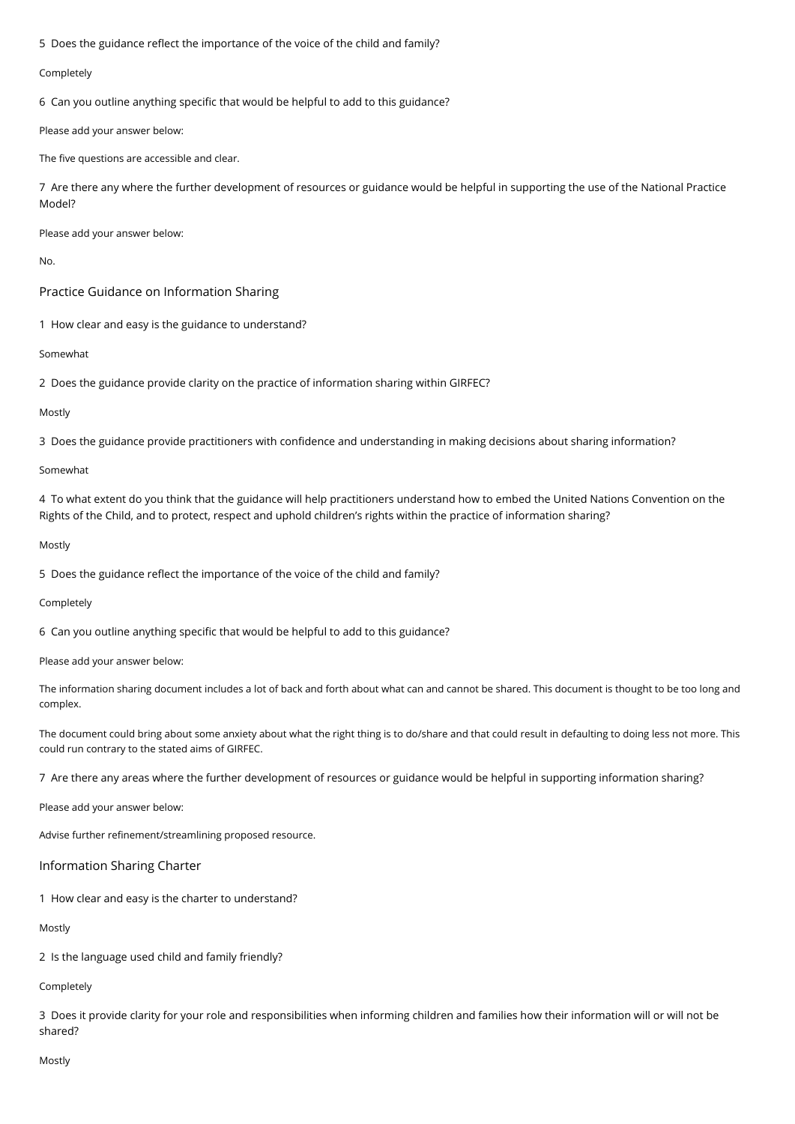5 Does the guidance reflect the importance of the voice of the child and family?

## Completely

6 Can you outline anything specific that would be helpful to add to this guidance?

Please add your answer below:

The five questions are accessible and clear.

7 Are there any where the further development of resources or guidance would be helpful in supporting the use of the National Practice Model?

Please add your answer below:

No.

Practice Guidance on Information Sharing

1 How clear and easy is the guidance to understand?

Somewhat

2 Does the guidance provide clarity on the practice of information sharing within GIRFEC?

## Mostly

3 Does the guidance provide practitioners with confidence and understanding in making decisions about sharing information?

### Somewhat

4 To what extent do you think that the guidance will help practitioners understand how to embed the United Nations Convention on the Rights of the Child, and to protect, respect and uphold children's rights within the practice of information sharing?

### Mostly

5 Does the guidance reflect the importance of the voice of the child and family?

### Completely

6 Can you outline anything specific that would be helpful to add to this guidance?

Please add your answer below:

The information sharing document includes a lot of back and forth about what can and cannot be shared. This document is thought to be too long and complex.

The document could bring about some anxiety about what the right thing is to do/share and that could result in defaulting to doing less not more. This could run contrary to the stated aims of GIRFEC.

7 Are there any areas where the further development of resources or guidance would be helpful in supporting information sharing?

Please add your answer below:

Advise further refinement/streamlining proposed resource.

### Information Sharing Charter

1 How clear and easy is the charter to understand?

Mostly

2 Is the language used child and family friendly?

Completely

3 Does it provide clarity for your role and responsibilities when informing children and families how their information will or will not be shared?

Mostly